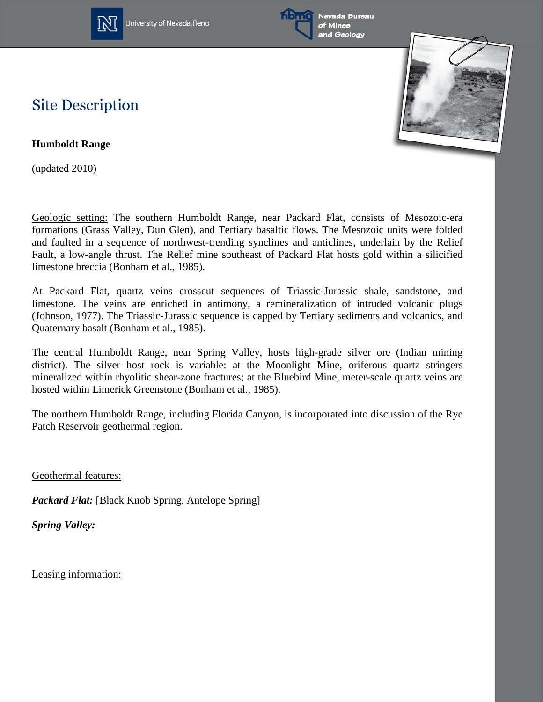

University of Nevada, Reno





## **Site Description**

**Humboldt Range** 

(updated 2010)

Geologic setting: The southern Humboldt Range, near Packard Flat, consists of Mesozoic-era formations (Grass Valley, Dun Glen), and Tertiary basaltic flows. The Mesozoic units were folded and faulted in a sequence of northwest-trending synclines and anticlines, underlain by the Relief Fault, a low-angle thrust. The Relief mine southeast of Packard Flat hosts gold within a silicified limestone breccia (Bonham et al., 1985).

At Packard Flat, quartz veins crosscut sequences of Triassic-Jurassic shale, sandstone, and limestone. The veins are enriched in antimony, a remineralization of intruded volcanic plugs (Johnson, 1977). The Triassic-Jurassic sequence is capped by Tertiary sediments and volcanics, and Quaternary basalt (Bonham et al., 1985).

The central Humboldt Range, near Spring Valley, hosts high-grade silver ore (Indian mining district). The silver host rock is variable: at the Moonlight Mine, oriferous quartz stringers mineralized within rhyolitic shear-zone fractures; at the Bluebird Mine, meter-scale quartz veins are hosted within Limerick Greenstone (Bonham et al., 1985).

The northern Humboldt Range, including Florida Canyon, is incorporated into discussion of the Rye Patch Reservoir geothermal region.

Geothermal features:

*Packard Flat:* [Black Knob Spring, Antelope Spring]

*Spring Valley:*

Leasing information: